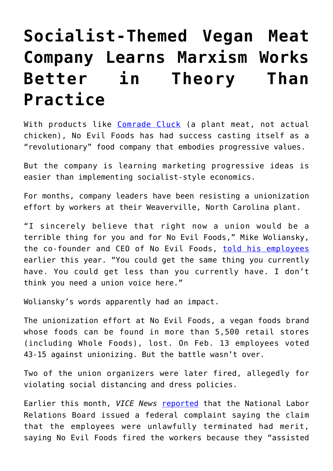## **[Socialist-Themed Vegan Meat](https://intellectualtakeout.org/2020/10/socialist-themed-vegan-meat-company-learns-marxism-works-better-in-theory-than-practice/) [Company Learns Marxism Works](https://intellectualtakeout.org/2020/10/socialist-themed-vegan-meat-company-learns-marxism-works-better-in-theory-than-practice/) [Better in Theory Than](https://intellectualtakeout.org/2020/10/socialist-themed-vegan-meat-company-learns-marxism-works-better-in-theory-than-practice/) [Practice](https://intellectualtakeout.org/2020/10/socialist-themed-vegan-meat-company-learns-marxism-works-better-in-theory-than-practice/)**

With products like [Comrade Cluck](https://www.noevilfoods.com/products/comrade-cluck/) (a plant meat, not actual chicken), No Evil Foods has had success casting itself as a "revolutionary" food company that embodies progressive values.

But the company is learning marketing progressive ideas is easier than implementing socialist-style economics.

For months, company leaders have been resisting a unionization effort by workers at their Weaverville, North Carolina plant.

"I sincerely believe that right now a union would be a terrible thing for you and for No Evil Foods," Mike Woliansky, the co-founder and CEO of No Evil Foods, [told his employees](https://wagingnonviolence.org/2020/07/the-unionization-attempt-at-no-evil-foods-holds-lessons-for-workers-across-the-country/) earlier this year. "You could get the same thing you currently have. You could get less than you currently have. I don't think you need a union voice here."

Woliansky's words apparently had an impact.

The unionization effort at No Evil Foods, a vegan foods brand whose foods can be found in more than 5,500 retail stores (including Whole Foods), lost. On Feb. 13 employees voted 43-15 against unionizing. But the battle wasn't over.

Two of the union organizers were later fired, allegedly for violating social distancing and dress policies.

Earlier this month, VICE News [reported](https://www.vice.com/en_us/article/pky5y9/nlrb-files-complaint-against-socialist-themed-vegan-meat-company-that-fired-union-organizers) that the National Labor Relations Board issued a federal complaint saying the claim that the employees were unlawfully terminated had merit, saying No Evil Foods fired the workers because they "assisted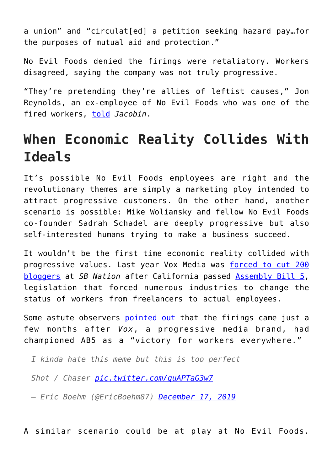a union" and "circulat[ed] a petition seeking hazard pay…for the purposes of mutual aid and protection."

No Evil Foods denied the firings were retaliatory. Workers disagreed, saying the company was not truly progressive.

"They're pretending they're allies of leftist causes," Jon Reynolds, an ex-employee of No Evil Foods who was one of the fired workers, [told](https://jacobinmag.com/2020/6/no-evil-foods-unionizing-workers-organizing) *Jacobin*.

## **When Economic Reality Collides With Ideals**

It's possible No Evil Foods employees are right and the revolutionary themes are simply a marketing ploy intended to attract progressive customers. On the other hand, another scenario is possible: Mike Woliansky and fellow No Evil Foods co-founder Sadrah Schadel are deeply progressive but also self-interested humans trying to make a business succeed.

It wouldn't be the first time economic reality collided with progressive values. Last year Vox Media was [forced to cut 200](https://www.nytimes.com/2019/12/16/business/media/vox-media-california-job-cuts.html) [bloggers](https://www.nytimes.com/2019/12/16/business/media/vox-media-california-job-cuts.html) at *SB Nation* after California passed [Assembly Bill 5,](https://fee.org/articles/did-california-just-kill-the-gig-economy/) legislation that forced numerous industries to change the status of workers from freelancers to actual employees.

Some astute observers [pointed out](https://twitter.com/EricBoehm87/status/1206728178728865795) that the firings came just a few months after *Vox*, a progressive media brand, had championed AB5 as a "victory for workers everywhere."

*I kinda hate this meme but this is too perfect*

*Shot / Chaser [pic.twitter.com/quAPTaG3w7](https://t.co/quAPTaG3w7)*

*— Eric Boehm (@EricBoehm87) [December 17, 2019](https://twitter.com/EricBoehm87/status/1206728178728865795?ref_src=twsrc%5Etfw)*

A similar scenario could be at play at No Evil Foods.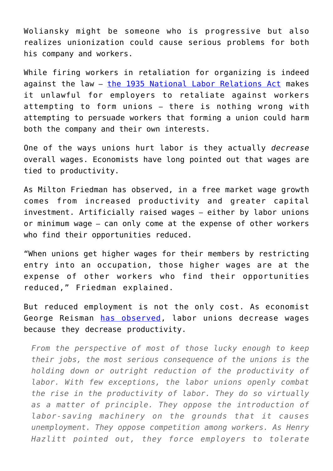Woliansky might be someone who is progressive but also realizes unionization could cause serious problems for both his company and workers.

While firing workers in retaliation for organizing is indeed against the law – [the 1935 National Labor Relations Act](https://www.nlrb.gov/about-nlrb/who-we-are/our-history/1935-passage-of-the-wagner-act) makes it unlawful for employers to retaliate against workers attempting to form unions – there is nothing wrong with attempting to persuade workers that forming a union could harm both the company and their own interests.

One of the ways unions hurt labor is they actually *decrease* overall wages. Economists have long pointed out that wages are tied to productivity.

As Milton Friedman has observed, in a free market wage growth comes from increased productivity and greater capital investment. Artificially raised wages – either by labor unions or minimum wage – can only come at the expense of other workers who find their opportunities reduced.

"When unions get higher wages for their members by restricting entry into an occupation, those higher wages are at the expense of other workers who find their opportunities reduced," Friedman explained.

But reduced employment is not the only cost. As economist George Reisman [has observed,](https://mises.org/library/how-labor-unions-hurt-workers) labor unions decrease wages because they decrease productivity.

*From the perspective of most of those lucky enough to keep their jobs, the most serious consequence of the unions is the holding down or outright reduction of the productivity of labor. With few exceptions, the labor unions openly combat the rise in the productivity of labor. They do so virtually as a matter of principle. They oppose the introduction of labor-saving machinery on the grounds that it causes unemployment. They oppose competition among workers. As Henry Hazlitt pointed out, they force employers to tolerate*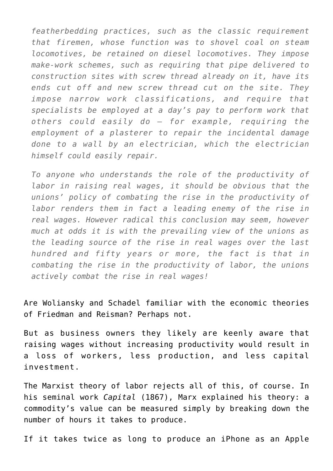*featherbedding practices, such as the classic requirement that firemen, whose function was to shovel coal on steam locomotives, be retained on diesel locomotives. They impose make-work schemes, such as requiring that pipe delivered to construction sites with screw thread already on it, have its ends cut off and new screw thread cut on the site. They impose narrow work classifications, and require that specialists be employed at a day's pay to perform work that others could easily do — for example, requiring the employment of a plasterer to repair the incidental damage done to a wall by an electrician, which the electrician himself could easily repair.*

*To anyone who understands the role of the productivity of labor in raising real wages, it should be obvious that the unions' policy of combating the rise in the productivity of labor renders them in fact a leading enemy of the rise in real wages. However radical this conclusion may seem, however much at odds it is with the prevailing view of the unions as the leading source of the rise in real wages over the last hundred and fifty years or more, the fact is that in combating the rise in the productivity of labor, the unions actively combat the rise in real wages!*

Are Woliansky and Schadel familiar with the economic theories of Friedman and Reisman? Perhaps not.

But as business owners they likely are keenly aware that raising wages without increasing productivity would result in a loss of workers, less production, and less capital investment.

The Marxist theory of labor rejects all of this, of course. In his seminal work *Capital* (1867), Marx explained his theory: a commodity's value can be measured simply by breaking down the number of hours it takes to produce.

If it takes twice as long to produce an iPhone as an Apple